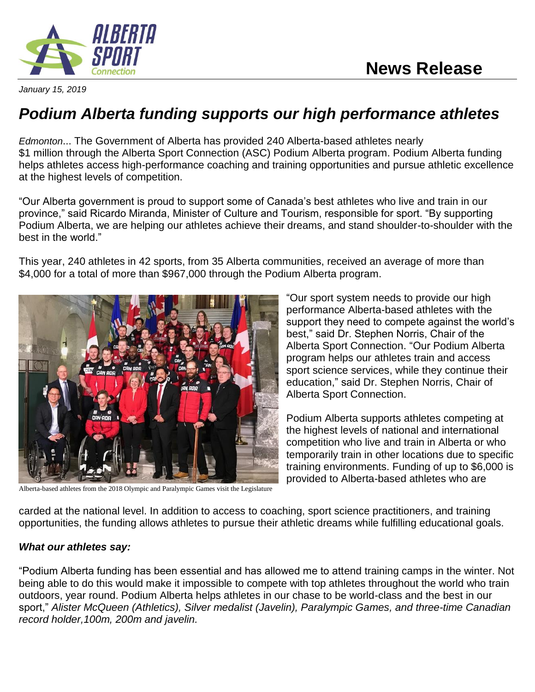

*January 15, 2019*

## *Podium Alberta funding supports our high performance athletes*

*Edmonton*... The Government of Alberta has provided 240 Alberta-based athletes nearly \$1 million through the Alberta Sport Connection (ASC) Podium Alberta program. Podium Alberta funding helps athletes access high-performance coaching and training opportunities and pursue athletic excellence at the highest levels of competition.

"Our Alberta government is proud to support some of Canada's best athletes who live and train in our province," said Ricardo Miranda, Minister of Culture and Tourism, responsible for sport. "By supporting Podium Alberta, we are helping our athletes achieve their dreams, and stand shoulder-to-shoulder with the best in the world."

This year, 240 athletes in 42 sports, from 35 Alberta communities, received an average of more than \$4,000 for a total of more than \$967,000 through the Podium Alberta program.



Alberta-based athletes from the 2018 Olympic and Paralympic Games visit the Legislature

"Our sport system needs to provide our high performance Alberta-based athletes with the support they need to compete against the world's best," said Dr. Stephen Norris, Chair of the Alberta Sport Connection. "Our Podium Alberta program helps our athletes train and access sport science services, while they continue their education," said Dr. Stephen Norris, Chair of Alberta Sport Connection.

Podium Alberta supports athletes competing at the highest levels of national and international competition who live and train in Alberta or who temporarily train in other locations due to specific training environments. Funding of up to \$6,000 is provided to Alberta-based athletes who are

carded at the national level. In addition to access to coaching, sport science practitioners, and training opportunities, the funding allows athletes to pursue their athletic dreams while fulfilling educational goals.

## *What our athletes say:*

"Podium Alberta funding has been essential and has allowed me to attend training camps in the winter. Not being able to do this would make it impossible to compete with top athletes throughout the world who train outdoors, year round. Podium Alberta helps athletes in our chase to be world-class and the best in our sport," *Alister McQueen (Athletics), Silver medalist (Javelin), Paralympic Games, and three-time Canadian record holder,100m, 200m and javelin.*